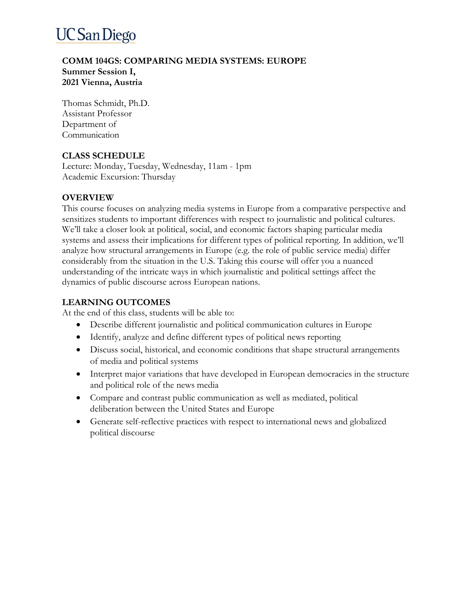## **UC San Diego**

### **COMM 104GS: COMPARING MEDIA SYSTEMS: EUROPE Summer Session I, 2021 Vienna, Austria**

Thomas Schmidt, Ph.D. Assistant Professor Department of **Communication** 

## **CLASS SCHEDULE**

Lecture: Monday, Tuesday, Wednesday, 11am - 1pm Academic Excursion: Thursday

### **OVERVIEW**

This course focuses on analyzing media systems in Europe from a comparative perspective and sensitizes students to important differences with respect to journalistic and political cultures. We'll take a closer look at political, social, and economic factors shaping particular media systems and assess their implications for different types of political reporting. In addition, we'll analyze how structural arrangements in Europe (e.g. the role of public service media) differ considerably from the situation in the U.S. Taking this course will offer you a nuanced understanding of the intricate ways in which journalistic and political settings affect the dynamics of public discourse across European nations.

## **LEARNING OUTCOMES**

At the end of this class, students will be able to:

- Describe different journalistic and political communication cultures in Europe
- Identify, analyze and define different types of political news reporting
- Discuss social, historical, and economic conditions that shape structural arrangements of media and political systems
- Interpret major variations that have developed in European democracies in the structure and political role of the news media
- Compare and contrast public communication as well as mediated, political deliberation between the United States and Europe
- Generate self-reflective practices with respect to international news and globalized political discourse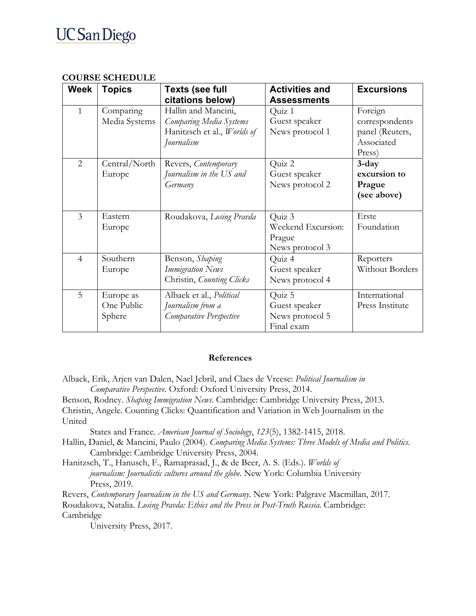## **UC San Diego**

| Week           | Topics        | <b>Texts (see full</b>      | <b>Activities and</b> | <b>Excursions</b> |
|----------------|---------------|-----------------------------|-----------------------|-------------------|
|                |               | citations below)            | <b>Assessments</b>    |                   |
| 1              | Comparing     | Hallin and Mancini,         | Quiz 1                | Foreign           |
|                | Media Systems | Comparing Media Systems     | Guest speaker         | correspondents    |
|                |               | Hanitzsch et al., Worlds of | News protocol 1       | panel (Reuters,   |
|                |               | Journalism                  |                       | Associated        |
|                |               |                             |                       | Press)            |
| $\overline{2}$ | Central/North | Revers, Contemporary        | Quiz 2                | $3$ -day          |
|                | Europe        | Journalism in the US and    | Guest speaker         | excursion to      |
|                |               | Germany                     | News protocol 2       | Prague            |
|                |               |                             |                       | (see above)       |
|                |               |                             |                       |                   |
| $\overline{3}$ | Eastern       | Roudakova, Losing Pravda    | Quiz 3                | Erste             |
|                | Europe        |                             | Weekend Excursion:    | Foundation        |
|                |               |                             | Prague                |                   |
|                |               |                             | News protocol 3       |                   |
| $\overline{4}$ | Southern      | Benson, Shaping             | Quiz 4                | Reporters         |
|                | Europe        | <b>Immigration News</b>     | Guest speaker         | Without Borders   |
|                |               | Christin, Counting Clicks   | News protocol 4       |                   |
| 5              | Europe as     | Albaek et al., Political    | Quiz 5                | International     |
|                | One Public    | Journalism from a           | Guest speaker         | Press Institute   |
|                | Sphere        | Comparative Perspective     | News protocol 5       |                   |
|                |               |                             | Final exam            |                   |

## **COURSE SCHEDULE**

### **References**

- Albaek, Erik, Arjen van Dalen, Nael Jebril, and Claes de Vreese: *Political Journalism in Comparative Perspective*. Oxford: Oxford University Press, 2014.
- Benson, Rodney. *Shaping Immigration News*. Cambridge: Cambridge University Press, 2013. Christin, Angele. Counting Clicks: Quantification and Variation in Web Journalism in the United

States and France. *American Journal of Sociology*, *123*(5), 1382-1415, 2018.

- Hallin, Daniel, & Mancini, Paulo (2004). *Comparing Media Systems: Three Models of Media and Politics*. Cambridge: Cambridge University Press, 2004.
- Hanitzsch, T., Hanusch, F., Ramaprasad, J., & de Beer, A. S. (Eds.). *Worlds of journalism: Journalistic cultures around the globe*. New York: Columbia University Press, 2019.

Revers, *Contemporary Journalism in the US and Germany*. New York: Palgrave Macmillan, 2017. Roudakova, Natalia. *Losing Pravda: Ethics and the Press in Post-Truth Russia*. Cambridge: Cambridge

University Press, 2017.